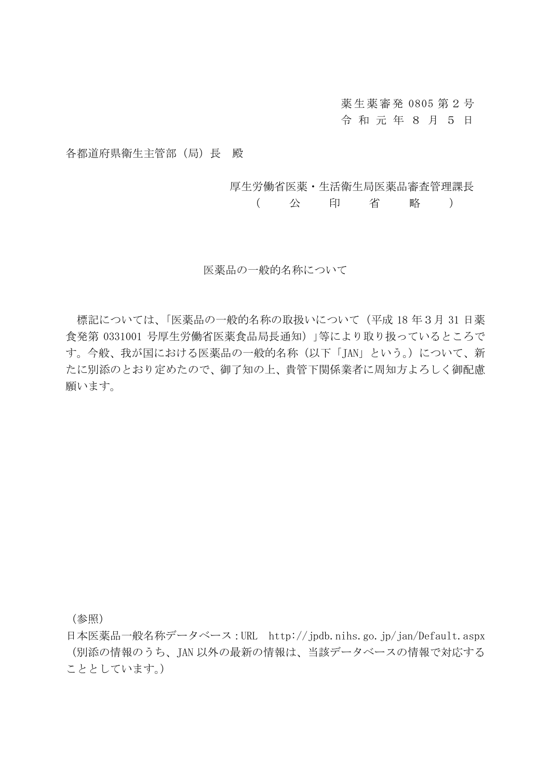薬生薬審発 0805 第2号 令 和 元 年 8 月 5 日

各都道府県衛生主管部(局)長 殿

厚生労働省医薬・生活衛生局医薬品審査管理課長

( 公 印 省 略 )

## 医薬品の一般的名称について

標記については、「医薬品の一般的名称の取扱いについて(平成 18 年3月 31 日薬 食発第 0331001 号厚生労働省医薬食品局長通知)」等により取り扱っているところで す。今般、我が国における医薬品の一般的名称(以下「JAN」という。)について、新 たに別添のとおり定めたので、御了知の上、貴管下関係業者に周知方よろしく御配慮 願います。

(参照)

日本医薬品一般名称データベース:URL http://jpdb.nihs.go.jp/jan/Default.aspx (別添の情報のうち、JAN 以外の最新の情報は、当該データベースの情報で対応する こととしています。)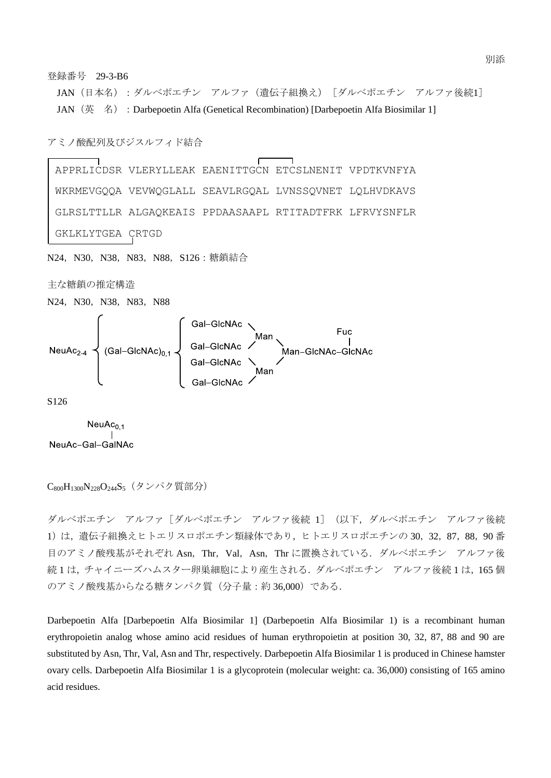



S126

 $NeuAc<sub>0.1</sub>$ NeuAc-Gal-GalNAc

```
C<sub>800</sub>H<sub>1300</sub>N<sub>228</sub>O<sub>244</sub>S<sub>5</sub> (タンパク質部分)
```
ダルベポエチン アルファ[ダルベポエチン アルファ後続 1](以下,ダルベポエチン アルファ後続 1)は、遺伝子組換えヒトエリスロポエチン類縁体であり、ヒトエリスロポエチンの 30,32,87,88,90番 目のアミノ酸残基がそれぞれ Asn, Thr, Val, Asn, Thr に置換されている. ダルベポエチン アルファ後 続1は、チャイニーズハムスター卵巣細胞により産生される. ダルベポエチン アルファ後続1は,165個 のアミノ酸残基からなる糖タンパク質(分子量:約 36,000)である.

Darbepoetin Alfa [Darbepoetin Alfa Biosimilar 1] (Darbepoetin Alfa Biosimilar 1) is a recombinant human erythropoietin analog whose amino acid residues of human erythropoietin at position 30, 32, 87, 88 and 90 are substituted by Asn, Thr, Val, Asn and Thr, respectively. Darbepoetin Alfa Biosimilar 1 is produced in Chinese hamster ovary cells. Darbepoetin Alfa Biosimilar 1 is a glycoprotein (molecular weight: ca. 36,000) consisting of 165 amino acid residues.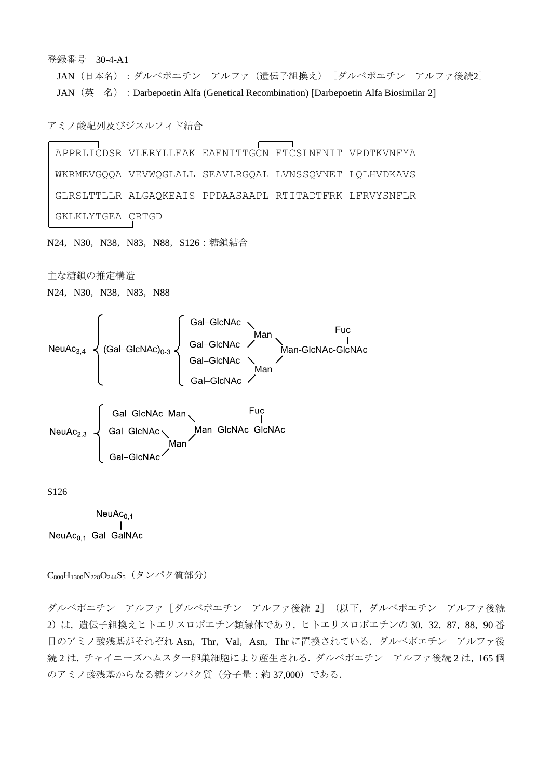登録番号 30-4-A1

JAN (日本名):ダルベポエチン アルファ(遺伝子組換え)「ダルベポエチン アルファ後続2] JAN (英名): Darbepoetin Alfa (Genetical Recombination) [Darbepoetin Alfa Biosimilar 2]

アミノ酸配列及びジスルフィド結合

APPRLICDSR VLERYLLEAK EAENITTGCN ETCSLNENIT VPDTKVNFYA WKRMEVGQQA VEVWQGLALL SEAVLRGQAL LVNSSQVNET LQLHVDKAVS GLRSLTTLLR ALGAQKEAIS PPDAASAAPL RTITADTFRK LFRVYSNFLR GKLKLYTGEA CRTGD

N24, N30, N38, N83, N88, S126: 糖鎖結合

主な糖鎖の推定構造

N24, N30, N38, N83, N88





S126

 $NeuAc_{0,1}$  $\begin{array}{c} \overline{1} & \overline{1} \\ \overline{1} & \overline{1} \end{array}$ NeuAc<sub>0 1</sub>-Gal-GalNAc

C<sub>800</sub>H<sub>1300</sub>N<sub>228</sub>O<sub>244</sub>S<sub>5</sub> (タンパク質部分)

ダルベポエチン アルファ[ダルベポエチン アルファ後続 2](以下,ダルベポエチン アルファ後続 2)は、潰伝子組換えヒトエリスロポエチン類縁体であり、ヒトエリスロポエチンの 30,32,87,88,90番 目のアミノ酸残基がそれぞれ Asn, Thr, Val, Asn, Thr に置換されている. ダルベポエチン アルファ後 続 2 は、チャイニーズハムスター卵巣細胞により産生される. ダルベポエチン アルファ後続 2 は、165 個 のアミノ酸残基からなる糖タンパク質(分子量:約 37,000)である.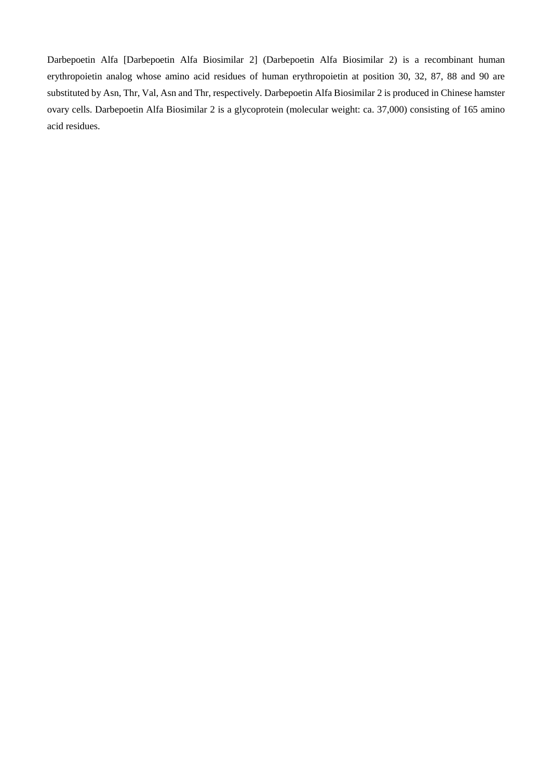Darbepoetin Alfa [Darbepoetin Alfa Biosimilar 2] (Darbepoetin Alfa Biosimilar 2) is a recombinant human erythropoietin analog whose amino acid residues of human erythropoietin at position 30, 32, 87, 88 and 90 are substituted by Asn, Thr, Val, Asn and Thr, respectively. Darbepoetin Alfa Biosimilar 2 is produced in Chinese hamster ovary cells. Darbepoetin Alfa Biosimilar 2 is a glycoprotein (molecular weight: ca. 37,000) consisting of 165 amino acid residues.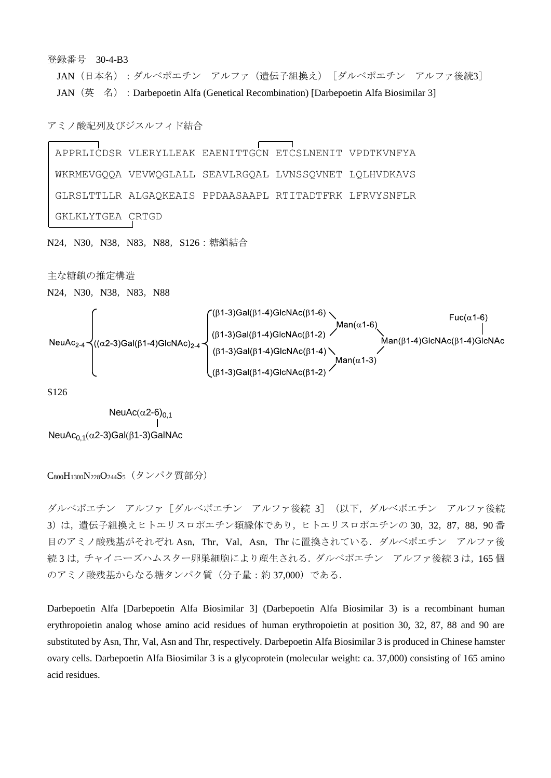## 登録番号 30-4-B3

JAN (日本名):ダルベポエチン アルファ(遺伝子組換え)「ダルベポエチン アルファ後続3] JAN (英 名): Darbepoetin Alfa (Genetical Recombination) [Darbepoetin Alfa Biosimilar 3]

## アミノ酸配列及びジスルフィド結合

APPRLICDSR VLERYLLEAK EAENITTGCN ETCSLNENIT VPDTKVNFYA WKRMEVGQQA VEVWQGLALL SEAVLRGQAL LVNSSQVNET LQLHVDKAVS GLRSLTTLLR ALGAQKEAIS PPDAASAAPL RTITADTFRK LFRVYSNFLR GKLKLYTGEA CRTGD

N24, N30, N38, N83, N88, S126: 糖鎖結合

主な糖鎖の推定構造

N24, N30, N38, N83, N88



S126

NeuAc $_{0,1}$ ( $\alpha$ 2-3)Gal( $\beta$ 1-3)GalNAc NeuAc( $\alpha$ 2-6)<sub>0,1</sub>

C<sub>800</sub>H<sub>1300</sub>N<sub>228</sub>O<sub>244</sub>S<sub>5</sub> (タンパク質部分)

ダルベポエチン アルファ[ダルベポエチン アルファ後続 3](以下,ダルベポエチン アルファ後続 3)は、遺伝子組換えヒトエリスロポエチン類縁体であり、ヒトエリスロポエチンの 30,32,87,88,90番 目のアミノ酸残基がそれぞれ Asn,Thr,Val,Asn,Thr に置換されている.ダルベポエチン アルファ後 続3は、チャイニーズハムスター卵巣細胞により産生される. ダルベポエチン アルファ後続3は,165個 のアミノ酸残基からなる糖タンパク質(分子量:約 37,000)である.

Darbepoetin Alfa [Darbepoetin Alfa Biosimilar 3] (Darbepoetin Alfa Biosimilar 3) is a recombinant human erythropoietin analog whose amino acid residues of human erythropoietin at position 30, 32, 87, 88 and 90 are substituted by Asn, Thr, Val, Asn and Thr, respectively. Darbepoetin Alfa Biosimilar 3 is produced in Chinese hamster ovary cells. Darbepoetin Alfa Biosimilar 3 is a glycoprotein (molecular weight: ca. 37,000) consisting of 165 amino acid residues.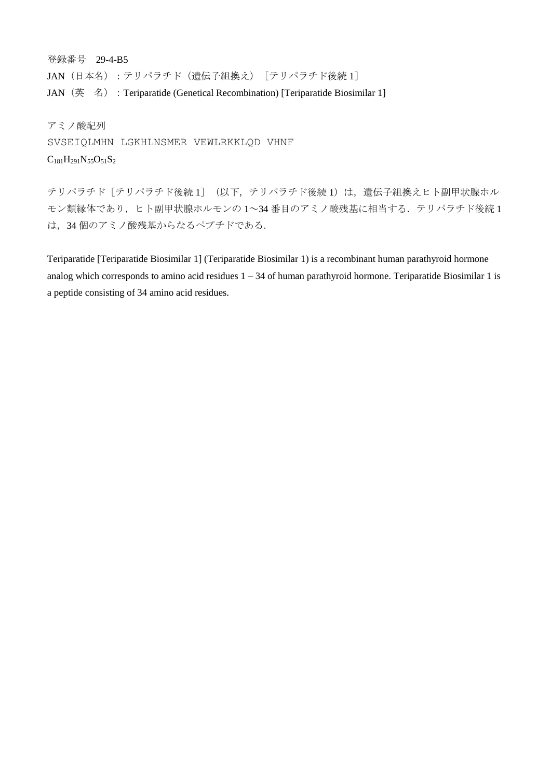登録番号 29-4-B5 JAN (日本名):テリパラチド(遺伝子組換え)「テリパラチド後続 1] JAN (英名): Teriparatide (Genetical Recombination) [Teriparatide Biosimilar 1]

アミノ酸配列 SVSEIQLMHN LGKHLNSMER VEWLRKKLQD VHNF  $C_{181}H_{291}N_{55}O_{51}S_2$ 

テリパラチド「テリパラチド後続 1] (以下,テリパラチド後続 1)は,遺伝子組換えヒト副甲状腺ホル モン類縁体であり、ヒト副甲状腺ホルモンの1~34番目のアミノ酸残基に相当する. テリパラチド後続1 は,34 個のアミノ酸残基からなるペプチドである.

Teriparatide [Teriparatide Biosimilar 1] (Teriparatide Biosimilar 1) is a recombinant human parathyroid hormone analog which corresponds to amino acid residues  $1 - 34$  of human parathyroid hormone. Teriparatide Biosimilar 1 is a peptide consisting of 34 amino acid residues.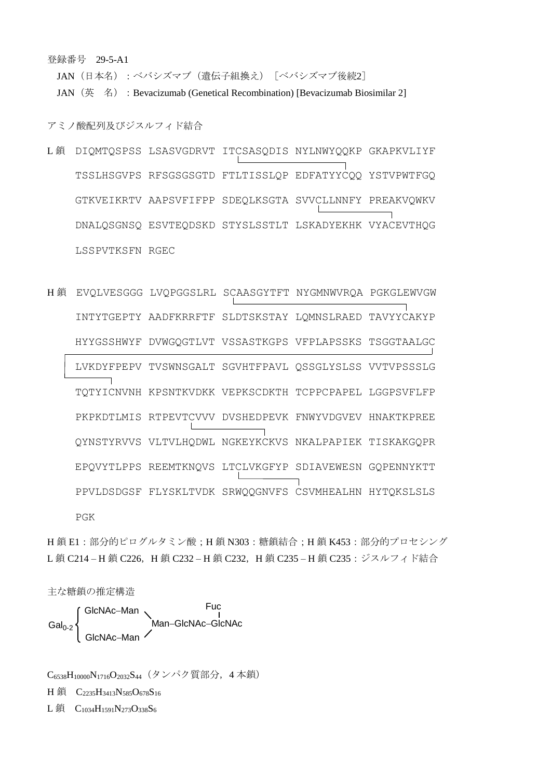登録番号 29-5-A1

JAN (日本名):ベバシズマブ(遺伝子組換え)「ベバシズマブ後続2]

JAN (英 名): Bevacizumab (Genetical Recombination) [Bevacizumab Biosimilar 2]

アミノ酸配列及びジスルフィド結合

- L鎖 DIQMTQSPSS LSASVGDRVT ITCSASQDIS NYLNWYQQKP GKAPKVLIYF TSSLHSGVPS RFSGSGSGTD FTLTISSLQP EDFATYYCQQ YSTVPWTFGQ GTKVEIKRTV AAPSVFIFPP SDEQLKSGTA SVVCLLNNFY PREAKVQWKV DNALQSGNSQ ESVTEQDSKD STYSLSSTLT LSKADYEKHK VYACEVTHQG LSSPVTKSFN RGEC
- H 鎖 EVQLVESGGG LVQPGGSLRL SCAASGYTFT NYGMNWVRQA PGKGLEWVGW INTYTGEPTY AADFKRRFTF SLDTSKSTAY LQMNSLRAED TAVYYCAKYP HYYGSSHWYF DVWGQGTLVT VSSASTKGPS VFPLAPSSKS TSGGTAALGC LVKDYFPEPV TVSWNSGALT SGVHTFPAVL QSSGLYSLSS VVTVPSSSLG TQTYICNVNH KPSNTKVDKK VEPKSCDKTH TCPPCPAPEL LGGPSVFLFP PKPKDTLMIS RTPEVTCVVV DVSHEDPEVK FNWYVDGVEV HNAKTKPREE QYNSTYRVVS VLTVLHQDWL NGKEYKCKVS NKALPAPIEK TISKAKGQPR EPQVYTLPPS REEMTKNQVS LTCLVKGFYP SDIAVEWESN GQPENNYKTT PPVLDSDGSF FLYSKLTVDK SRWQQGNVFS CSVMHEALHN HYTQKSLSLS PGK

H鎖 E1:部分的ピログルタミン酸;H鎖 N303:糖鎖結合;H鎖 K453:部分的プロセシング L鎖 C214-H鎖 C226, H鎖 C232-H鎖 C232, H鎖 C235-H鎖 C235:ジスルフィド結合

主な糖鎖の推定構造

Man-GlcNAc-GlcNAc  $Gal<sub>0-2</sub>$ GlcNAc-Man Fuc GlcNAc-Man

C<sub>6538</sub>H<sub>10000</sub>N<sub>1716</sub>O<sub>2032</sub>S<sub>44</sub> (タンパク質部分, 4本鎖) H 鎖 C<sub>2235</sub>H<sub>3413</sub>N<sub>585</sub>O<sub>678</sub>S<sub>16</sub> L鎖  $C_{1034}H_{1591}N_{273}O_{338}S_6$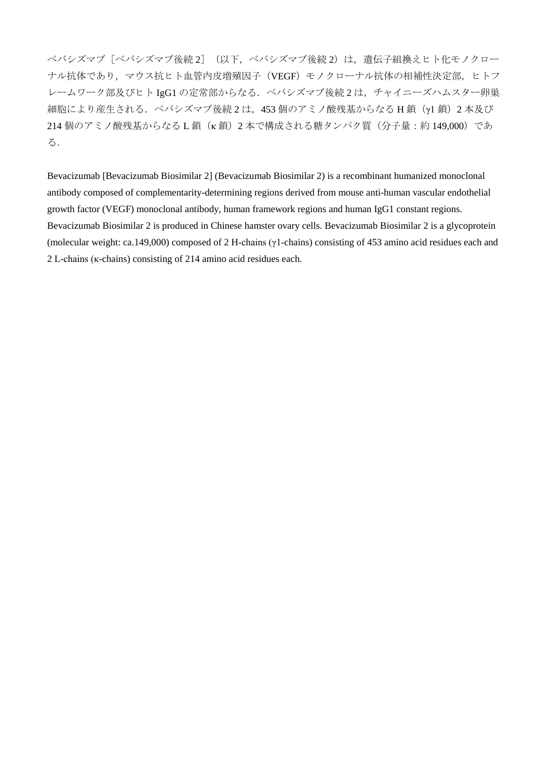ベバシズマブ(後続2] (以下,ベバシズマブ後続2)は、遺伝子組換えヒト化モノクロー ナル抗体であり,マウス抗ヒト血管内皮増殖因子(VEGF)モノクローナル抗体の相補性決定部,ヒトフ レームワーク部及びヒト IgG1 の定常部からなる. ベバシズマブ後続2は、チャイニーズハムスター卵巣 細胞により産生される.ベバシズマブ後続 2 は,453 個のアミノ酸残基からなる H 鎖(γ1 鎖)2 本及び 214 個のアミノ酸残基からなる L 鎖 (k 鎖) 2 本で構成される糖タンパク質(分子量:約 149,000)であ る.

Bevacizumab [Bevacizumab Biosimilar 2] (Bevacizumab Biosimilar 2) is a recombinant humanized monoclonal antibody composed of complementarity-determining regions derived from mouse anti-human vascular endothelial growth factor (VEGF) monoclonal antibody, human framework regions and human IgG1 constant regions. Bevacizumab Biosimilar 2 is produced in Chinese hamster ovary cells. Bevacizumab Biosimilar 2 is a glycoprotein (molecular weight: ca.149,000) composed of 2 H-chains (γ1-chains) consisting of 453 amino acid residues each and 2 L-chains (κ-chains) consisting of 214 amino acid residues each.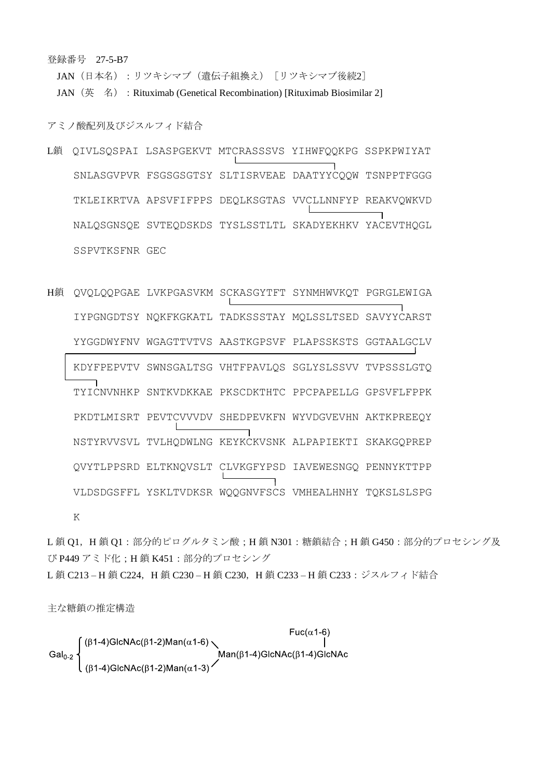登録番号 27-5-B7

JAN (日本名):リツキシマブ(遺伝子組換え)「リツキシマブ後続2]

JAN (英 名): Rituximab (Genetical Recombination) [Rituximab Biosimilar 2]

アミノ酸配列及びジスルフィド結合

- L鎖 QIVLSQSPAI LSASPGEKVT MTCRASSSVS YIHWFQQKPG SSPKPWIYAT SNLASGVPVR FSGSGSGTSY SLTISRVEAE DAATYYCQQW TSNPPTFGGG TKLEIKRTVA APSVFIFPPS DEQLKSGTAS VVCLLNNFYP REAKVQWKVD NALQSGNSQE SVTEQDSKDS TYSLSSTLTL SKADYEKHKV YACEVTHQGL SSPVTKSFNR GEC
- H鎖 QVQLQQPGAE LVKPGASVKM SCKASGYTFT SYNMHWVKQT PGRGLEWIGA IYPGNGDTSY NQKFKGKATL TADKSSSTAY MQLSSLTSED SAVYYCARST YYGGDWYFNV WGAGTTVTVS AASTKGPSVF PLAPSSKSTS GGTAALGCLV KDYFPEPVTV SWNSGALTSG VHTFPAVLQS SGLYSLSSVV TVPSSSLGTQ TYICNVNHKP SNTKVDKKAE PKSCDKTHTC PPCPAPELLG GPSVFLFPPK PKDTLMISRT PEVTCVVVDV SHEDPEVKFN WYVDGVEVHN AKTKPREEQY NSTYRVVSVL TVLHQDWLNG KEYKCKVSNK ALPAPIEKTI SKAKGQPREP QVYTLPPSRD ELTKNQVSLT CLVKGFYPSD IAVEWESNGQ PENNYKTTPP VLDSDGSFFL YSKLTVDKSR WQQGNVFSCS VMHEALHNHY TQKSLSLSPG

K

L 鎖 Q1, H 鎖 Q1:部分的ピログルタミン酸;H 鎖 N301:糖鎖結合;H 鎖 G450:部分的プロセシング及 び P449 アミド化;H 鎖 K451:部分的プロセシング L鎖 C213-H鎖 C224, H鎖 C230-H鎖 C230, H鎖 C233-H鎖 C233:ジスルフィド結合

主な糖鎖の推定構造

 $Fuc(\alpha 1-6)$  $(\beta1-4)$ GlcNAc( $\beta1-2$ )Man( $\alpha1-6$ )  $Man(\beta1-4)GlcNAc(\beta1-4)GlcNAc$  $Gal<sub>0-2</sub>$  $(\beta$ 1-4)GlcNAc( $\beta$ 1-2)Man( $\alpha$ 1-3)